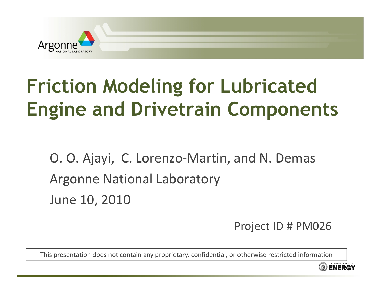

# **Friction Modeling for Lubricated Engine and Drivetrain Components**

O. O. Ajayi, C. Lorenzo ‐Martin, and N. Demas Argonne National Laboratory June 10, 2010

Project ID # PM026

This presentation does not contain any proprietary, confidential, or otherwise restricted information

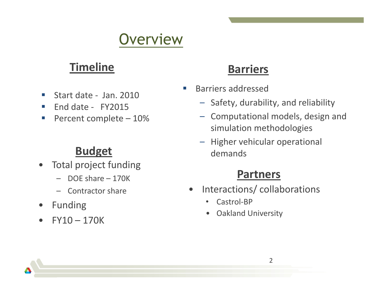## Overview

#### **Timeline**

- $\overline{\phantom{a}}$ Start date ‐ Jan. 2010
- $\Box$ ■ End date - FY2015
- $\mathcal{C}^{\mathcal{A}}$ Percent complete – 10%

#### **Budget**

- • Total project funding
	- DOE share 170K
	- Contractor share
- •Funding
- •FY10 – 170K

#### **Barriers**

- e<br>S Barriers addressed
	- Safety, durability, and reliability
	- – Computational models, design and simulation methodologies
	- Higher vehicular operational demands

#### **Partners**

- $\bullet$  Interactions/ collaborations
	- •Castrol‐BP
	- •Oakland University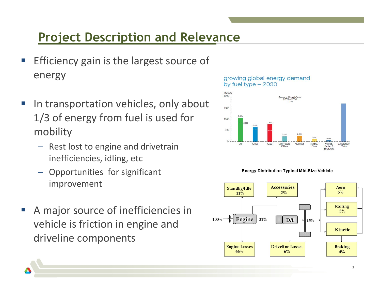#### **Project Description and Relevance**

- Efficiency gain is the largest source of energy
- **IF In transportation vehicles, only about** 1/3 of energy from fuel is used for mobility
	- –- Rest lost to engine and drivetrain inefficiencies, idling, etc
	- Opportunities for significant improvement
- A major source of inefficiencies in vehicle is friction in engine and driveline components

#### growing global energy demand by fuel type  $-2030$





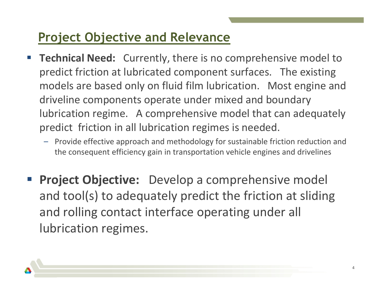#### **Project Objective and Relevance**

- **Technical Need:** Currently, there is no comprehensive model to predict friction at lubricated component surfaces. The existing models are based only on fluid film lubrication. Most engine and driveline components operate under mixed and boundary lubrication regime. A comprehensive model that can adequately predict friction in all lubrication regimes is needed.
	- – Provide effective approach and methodology for sustainable friction reduction and the consequent efficiency gain in transportation vehicle engines and drivelines
- **Service Service Project Objective:** Develop a comprehensive model and tool(s) to adequately predict the friction at sliding and rolling contact interface operating under all lubrication regimes.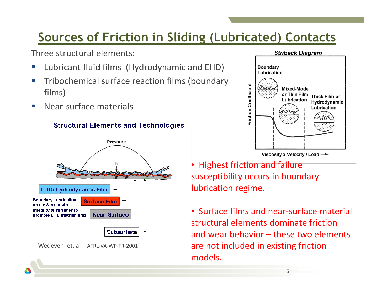#### **Sources of Friction in Sliding (Lubricated) Contacts**

Three structural elements:

- **Service Service E** Lubricant fluid films (Hydrodynamic and EHD)
- **Service Service Tribochemical surface reaction films (boundary** films)
- $\mathcal{L}_{\mathcal{A}}$ **• Near-surface materials**









• Highest friction and failure susceptibility occurs in boundary lubrication regime.

• Surface films and near-surface material structural elements dominate frictionand wear behavior – these two elements are not included in existing friction models.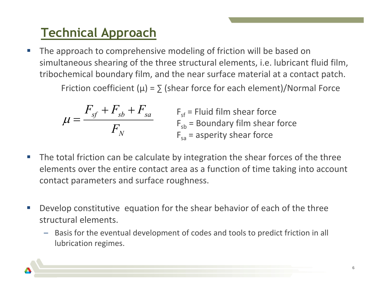### **Technical Approach**

 $\mathcal{L}_{\mathcal{A}}$ ■ The approach to comprehensive modeling of friction will be based on simultaneous shearing of the three structural elements, i.e. lubricant fluid film, tribochemical boundary film, and the near surface material at <sup>a</sup> contact patch.

Friction coefficient ( $\mu$ ) =  $\sum$  (shear force for each element)/Normal Force

$$
\mu = \frac{F_{sf} + F_{sb} + F_{sa}}{F_N}
$$
  
F<sub>sb</sub> = Fluid film shear force  
F<sub>sa</sub> = Boundary film shear force  
F<sub>sa</sub> = asperity shear force

- **The total friction can be calculate by integration the shear forces of the three** elements over the entire contact area as <sup>a</sup> function of time taking into account contact parameters and surface roughness.
- e<br>S Develop constitutive equation for the shear behavior of each of the three structural elements.
	- – Basis for the eventual development of codes and tools to predict friction in all lubrication regimes.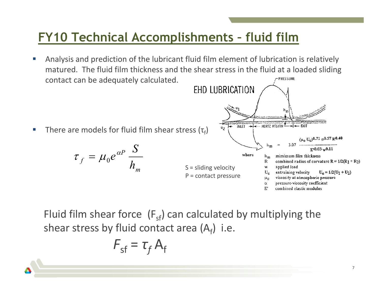#### **FY10 Technical Accomplishments – fluid film**

- Analysis and prediction of the lubricant fluid film element of lubrication is relatively П matured. The fluid film thickness and the shear stress in the fluid at a loaded sliding -PRESSURE contact can be adequately calculated.
- INLET HERTZ REGION  $u<sub>2</sub>$ **There are models for fluid film shear stress (τ**<sub>f</sub>) П  $_{\rm 11a}$  Ue)0.71  $_{\alpha}$ 0.57 R0.40  $h_{m}$ 3.07  $e^{aP}$ <sup> $S$ </sup>  $\mu_f = \mu_0 e^{\alpha P} \frac{R}{h}$  $\tau_f = \mu_0 e^{\alpha}$ where mimimum film thickness  $h_m$  $\mathbb{R}$ combined radius of curvature  $R = 1/2(R_1 + R_2)$

Fluid film shear force  $(F_{sf})$  can calculated by multiplying the shear stress by fluid contact area (A<sub>f</sub>) i.e.

S = sliding velocity P = contact pressure w

U,

 $\mu_{0}$ 

α  $\Gamma$  applied load

entraining velocity

viscosity at atmospheric pressure

pressure-viscosity coefficient

combined elastic modulus

EHD LUBRICATION

$$
F_{\rm sf} = \tau_f A_{\rm f}
$$

*m*

 $E^{10.03}$  w $0.11$ 

 $U_P = 1/2(U_1 + U_2)$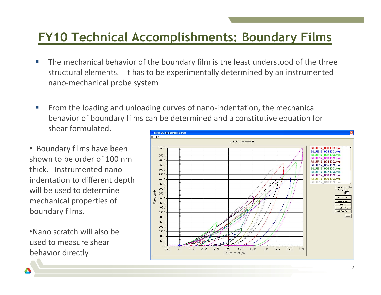#### **FY10 Technical Accomplishments: Boundary Films**

- П **The mechanical behavior of the boundary film is the least understood of the three** structural elements. It has to be experimentally determined by an instrumented nano‐mechanical probe system
- From the loading and unloading curves of nano-indentation, the mechanical П behavior of boundary films can be determined and a constitutive equation for shear formulated. **Force vs. Displacement Curves**
- Boundary films have been shown to be order of 100 nmthick. Instrumented nano‐ indentation to different depth will be used to determine mechanical properties of boundary films.

•Nano scratch will also be used to measure shear behavior directly.

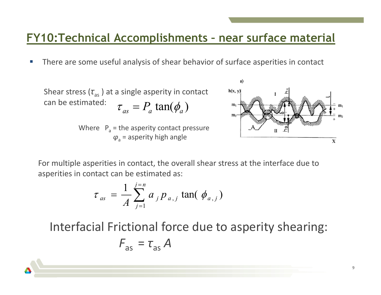#### **FY10:Technical Accomplishments – near surface material**

П **There are some useful analysis of shear behavior of surface asperities in contact** 

Shear stress (
$$
\tau_{as}
$$
) at a single asperity in contact  
can be estimated:  $\tau_{as} = P_a \tan(\phi_a)$ 

Where  $P_a$  = the asperity contact pressure  $\boldsymbol{\varphi}_{\mathsf{a}}$  = asperity high angle



For multiple asperities in contact, the overall shear stress at the interface due to asperities in contact can be estimated as:

$$
\tau_{as} = \frac{1}{A} \sum_{j=1}^{j=n} a_j p_{a,j} \tan(\phi_{a,j})
$$

Interfacial Frictional force due to asperity shearing:

$$
F_{\rm as} = \tau_{\rm as} A
$$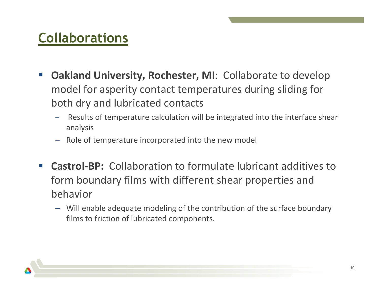#### **Collaborations**

- $\mathbb{R}^n$  **Oakland University, Rochester, MI**: Collaborate to develop model for asperity contact temperatures during sliding for both dry and lubricated contacts
	- Results of temperature calculation will be integrated into the interface shear analysis
	- Role of temperature incorporated into the new model
- $\sim$ ■ Castrol-BP: Collaboration to formulate lubricant additives to form boundary films with different shear properties and behavior
	- Will enable adequate modeling of the contribution of the surface boundary films to friction of lubricated components.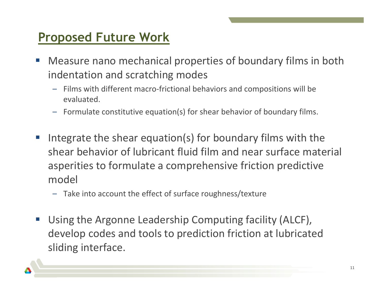#### **Proposed Future Work**

- $\mathcal{C}^{\mathcal{A}}$  Measure nano mechanical properties of boundary films in both indentation and scratching modes
	- –- Films with different macro-frictional behaviors and compositions will be evaluated.
	- Formulate constitutive equation(s) for shear behavior of boundary films.
- $\mathcal{L}_{\mathcal{A}}$  Integrate the shear equation(s) for boundary films with the shear behavior of lubricant fluid film and near surface material asperities to formulate a comprehensive friction predictive model
	- Take into account the effect of surface roughness/texture
- $\mathcal{L}_{\mathcal{A}}$  Using the Argonne Leadership Computing facility (ALCF), develop codes and tools to prediction friction at lubricated sliding interface.